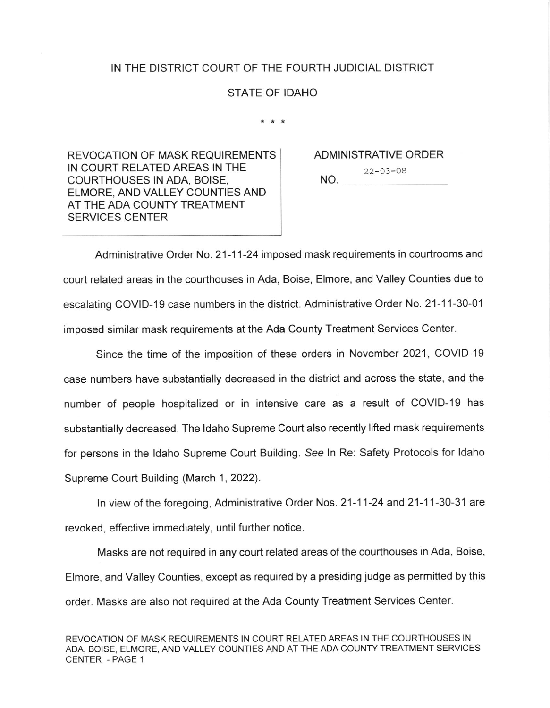## IN THE DISTRICT COURT OF THE FOURTH JUDICIAL DISTRICT

## STATE OF IDAHO

\* \* \*

REVOCATION OF MASK REQUIREMENTS IN COURT RELATED AREAS IN THE COURTHOUSES IN ADA, BOISE, ELMORE, AND VALLEY COUNTIES AND AT THE ADA COUNTY TREATMENT SERVICES CENTER

ADMINISTRATIVE ORDER  $22 - 03 - 08$ NO.

Administrative Order No. 21-11-24 imposed mask requirements in courtrooms and court related areas in the courthouses in Ada, Boise, Elmore, and Valley Counties due to escalating COVID-19 case numbers in the district. Administrative Order No. 21-11-30-01 imposed similar mask requirements at the Ada County Treatment Services Center.

Since the time of the imposition of these orders in November 2021, COVID-19 case numbers have substantially decreased in the district and across the state, and the number of people hospitalized or in intensive care as a result of COVID-19 has substantially decreased. The ldaho Supreme Court also recently lifted mask requirements for persons in the ldaho Supreme Court Building. See ln Re: Safety Protocols for ldaho Supreme Court Building (March 1, 2022).

In view of the foregoing, Administrative Order Nos. 21-11-24 and 21-11-30-31 are revoked, effective immediately, until further notice.

Masks are not required in any court related areas of the courthouses in Ada, Boise, Elmore, and Valley Counties, except as required by a presiding judge as permitted by this order. Masks are also not required at the Ada County Treatment Services Center.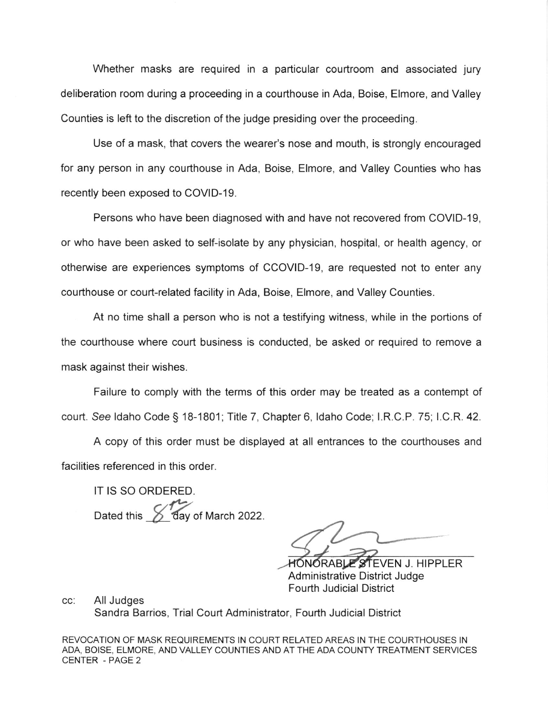Whether masks are required in a particular courtroom and associated jury deliberation room during a proceeding in a courthouse in Ada, Boise, Elmore, and Valley Counties is left to the discretion of the judge presiding over the proceeding.

Use of a mask, that covers the wearer's nose and mouth, is strongly encouraged for any person in any courthouse in Ada, Boise, Elmore, and Valley Counties who has recently been exposed to COVID-19.

Persons who have been diagnosed with and have not recovered from COVID-19, or who have been asked to self-isolate by any physician, hospital, or health agency, or otherwise are experiences symptoms of CCOVID-19, are requested not to enter any courthouse or court-related facility in Ada, Boise, Elmore, and Valley Counties.

At no time shall a person who is not a testifying witness, while in the portions of the courthouse where court business is conducted, be asked or required to remove a mask against their wishes.

Failure to comply with the terms of this order may be treated as a contempt of court. See Idaho Code § 18-1801; Title 7, Chapter 6, Idaho Code; I.R.C.P. 75; I.C.R. 42.

A copy of this order must be displayed at all entrances to the courthouses and facilities referenced in this order.

IT IS SO ORDERED.  $%$  day of March 2022. Dated this

HONORABLE STEVEN J. HIPPLER Administrative District Judge Fourth Judicial District

All Judges CC: Sandra Barrios, Trial Court Administrator, Fourth Judicial District

REVOCATION OF MASK REQUIREMENTS IN COURT RELATED AREAS IN THE COURTHOUSES IN ADA, BOISE, ELMORE, AND VALLEY COUNTIES AND AT THE ADA COUNTY TREATMENT SERVICES CENTER - PAGE 2